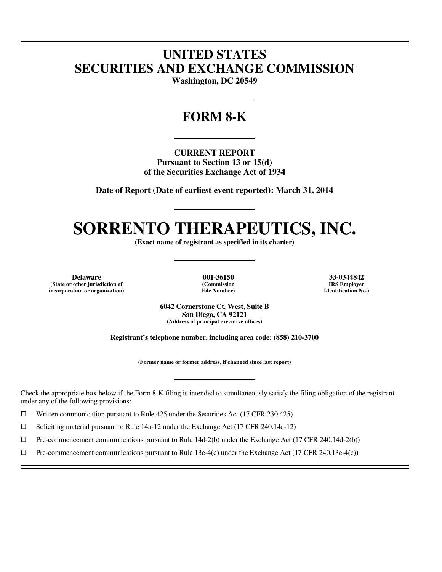# **UNITED STATES SECURITIES AND EXCHANGE COMMISSION**

**Washington, DC 20549** 

# **FORM 8-K**

**CURRENT REPORT Pursuant to Section 13 or 15(d) of the Securities Exchange Act of 1934** 

**Date of Report (Date of earliest event reported): March 31, 2014** 

# **SORRENTO THERAPEUTICS, INC.**

**(Exact name of registrant as specified in its charter)** 

**Delaware 001-36150 33-0344842 (State or other jurisdiction of (Commission IRS Employer**  $incorporation$  or organization)

 $\overline{a}$  $\overline{a}$ 

 $\overline{a}$ 

**6042 Cornerstone Ct. West, Suite B San Diego, CA 92121 (Address of principal executive offices)** 

**Registrant's telephone number, including area code: (858) 210-3700** 

**(Former name or former address, if changed since last report)** 

Check the appropriate box below if the Form 8-K filing is intended to simultaneously satisfy the filing obligation of the registrant under any of the following provisions:

 $□$  Written communication pursuant to Rule 425 under the Securities Act (17 CFR 230.425)<br>
□ Soliciting material pursuant to Rule 14a-12 under the Exchange Act (17 CFR 240.14a-12)

<p>□ Soliciting material pursuit to Rule 14a-12 under the Exchange Act (17 CFR 240.14a-12)</p>\n<p>□ Pre-component communications pursuit to Rule 14d-2(b) under the Exchange Act (17 CFR 240.14a-12)</p>

 $\Box$  Pre-commencement communications pursuant to Rule 14d-2(b) under the Exchange Act (17 CFR 240.14d-2(b))<br>  $\Box$  Pre-commencement communications pursuant to Rule 13e-4(c) under the Exchange Act (17 CFR 240.13e-4(c))

Pre-commencement communications pursuant to Rule 13e-4(c) under the Exchange Act (17 CFR 240.13e-4(c))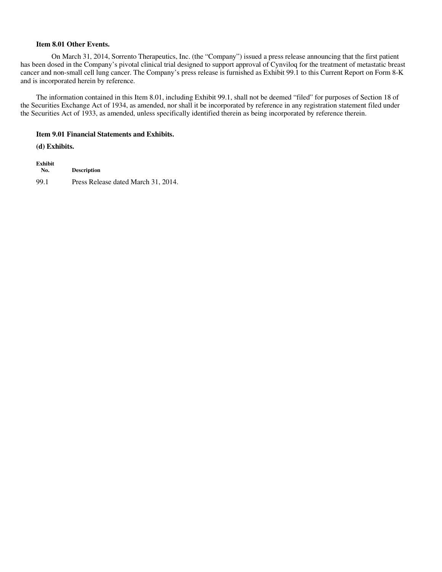#### **Item 8.01 Other Events.**

On March 31, 2014, Sorrento Therapeutics, Inc. (the "Company") issued a press release announcing that the first patient has been dosed in the Company's pivotal clinical trial designed to support approval of Cynviloq for the treatment of metastatic breast cancer and non-small cell lung cancer. The Company's press release is furnished as Exhibit 99.1 to this Current Report on Form 8-K and is incorporated herein by reference.

The information contained in this Item 8.01, including Exhibit 99.1, shall not be deemed "filed" for purposes of Section 18 of the Securities Exchange Act of 1934, as amended, nor shall it be incorporated by reference in any registration statement filed under the Securities Act of 1933, as amended, unless specifically identified therein as being incorporated by reference therein.

#### **Item 9.01 Financial Statements and Exhibits.**

**(d) Exhibits.**

**Exhibit No. Description** 99.1 Press Release dated March 31, 2014.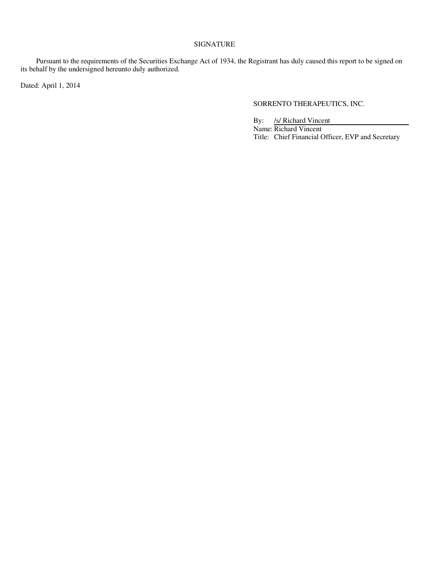### SIGNATURE

Pursuant to the requirements of the Securities Exchange Act of 1934, the Registrant has duly caused this report to be signed on its behalf by the undersigned hereunto duly authorized.

Dated: April 1, 2014

## SORRENTO THERAPEUTICS, INC.

By: /s/ Richard Vincent Name: Richard Vincent Title: Chief Financial Officer, EVP and Secretary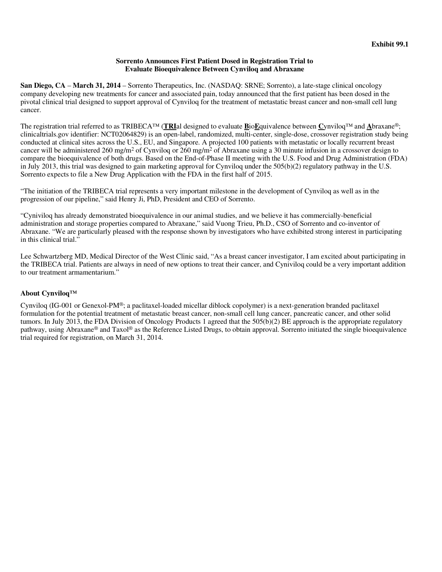#### **Sorrento Announces First Patient Dosed in Registration Trial to Evaluate Bioequivalence Between Cynviloq and Abraxane**

**San Diego, CA** – **March 31, 2014** – Sorrento Therapeutics, Inc. (NASDAQ: SRNE; Sorrento), a late-stage clinical oncology company developing new treatments for cancer and associated pain, today announced that the first patient has been dosed in the pivotal clinical trial designed to support approval of Cynviloq for the treatment of metastatic breast cancer and non-small cell lung cancer.

The registration trial referred to as TRIBECA™ (**TRI**al designed to evaluate **B**io**E**quivalence between **C**ynviloq™ and **A**braxane®; clinicaltrials.gov identifier: NCT02064829) is an open-label, randomized, multi-center, single-dose, crossover registration study being conducted at clinical sites across the U.S., EU, and Singapore. A projected 100 patients with metastatic or locally recurrent breast cancer will be administered 260 mg/m<sup>2</sup> of Cynviloq or 260 mg/m<sup>2</sup> of Abraxane using a 30 minute infusion in a crossover design to compare the bioequivalence of both drugs. Based on the End-of-Phase II meeting with the U.S. Food and Drug Administration (FDA) in July 2013, this trial was designed to gain marketing approval for Cynviloq under the 505(b)(2) regulatory pathway in the U.S. Sorrento expects to file a New Drug Application with the FDA in the first half of 2015.

"The initiation of the TRIBECA trial represents a very important milestone in the development of Cynviloq as well as in the progression of our pipeline," said Henry Ji, PhD, President and CEO of Sorrento.

"Cyniviloq has already demonstrated bioequivalence in our animal studies, and we believe it has commercially-beneficial administration and storage properties compared to Abraxane," said Vuong Trieu, Ph.D., CSO of Sorrento and co-inventor of Abraxane. "We are particularly pleased with the response shown by investigators who have exhibited strong interest in participating in this clinical trial."

Lee Schwartzberg MD, Medical Director of the West Clinic said, "As a breast cancer investigator, I am excited about participating in the TRIBECA trial. Patients are always in need of new options to treat their cancer, and Cyniviloq could be a very important addition to our treatment armamentarium."

### **About Cynviloq™**

Cynviloq (IG-001 or Genexol-PM®; a paclitaxel-loaded micellar diblock copolymer) is a next-generation branded paclitaxel formulation for the potential treatment of metastatic breast cancer, non-small cell lung cancer, pancreatic cancer, and other solid tumors. In July 2013, the FDA Division of Oncology Products 1 agreed that the 505(b)(2) BE approach is the appropriate regulatory pathway, using Abraxane® and Taxol® as the Reference Listed Drugs, to obtain approval. Sorrento initiated the single bioequivalence trial required for registration, on March 31, 2014.